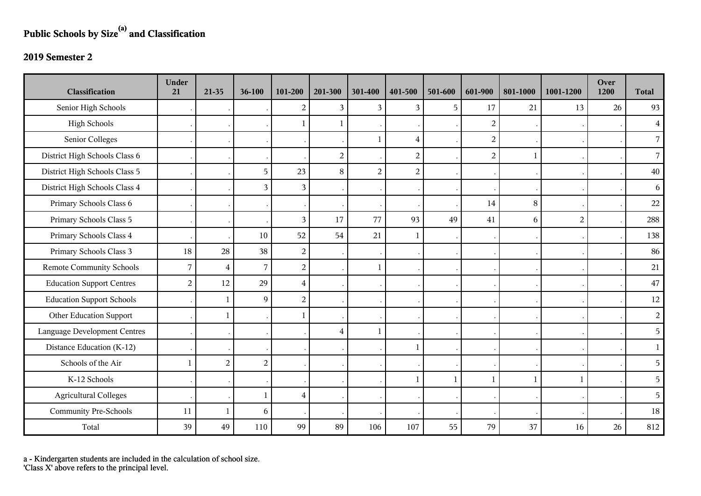## **Public Schools by Size(a) and Classification**

## **2019 Semester 2**

| <b>Classification</b>               | <b>Under</b><br>21 | $21-35$        | 36-100         | 101-200        | 201-300        | 301-400        | 401-500        | 501-600      | 601-900        | 801-1000     | 1001-1200      | Over<br>1200 | <b>Total</b>   |
|-------------------------------------|--------------------|----------------|----------------|----------------|----------------|----------------|----------------|--------------|----------------|--------------|----------------|--------------|----------------|
| Senior High Schools                 |                    |                |                | 2              | 3              | 3              | 3              | 5            | 17             | 21           | 13             | 26           | 93             |
| <b>High Schools</b>                 |                    |                |                |                | 1              |                |                |              | $\overline{2}$ |              |                |              | $\overline{4}$ |
| Senior Colleges                     |                    |                |                |                |                | $\mathbf{1}$   | 4              |              | $\overline{c}$ |              |                |              | $\overline{7}$ |
| District High Schools Class 6       |                    |                |                |                | $\overline{2}$ |                | $\overline{2}$ |              | $\overline{2}$ | $\mathbf{1}$ |                |              | $\overline{7}$ |
| District High Schools Class 5       |                    |                | 5              | 23             | 8              | $\overline{2}$ | $\overline{2}$ |              |                |              |                |              | 40             |
| District High Schools Class 4       |                    |                | $\mathfrak{Z}$ | 3              |                |                |                |              |                |              |                |              | 6              |
| Primary Schools Class 6             |                    |                |                |                |                |                |                |              | 14             | 8            |                |              | 22             |
| Primary Schools Class 5             |                    |                |                | 3              | 17             | 77             | 93             | 49           | 41             | 6            | $\overline{2}$ |              | 288            |
| Primary Schools Class 4             |                    |                | 10             | 52             | 54             | 21             | 1              |              |                |              |                |              | 138            |
| Primary Schools Class 3             | 18                 | 28             | 38             | $\overline{c}$ |                |                |                |              |                |              |                |              | 86             |
| <b>Remote Community Schools</b>     | $\overline{7}$     | $\overline{4}$ | $\overline{7}$ | $\overline{2}$ |                | $\mathbf{1}$   |                |              |                |              |                |              | 21             |
| <b>Education Support Centres</b>    | $\overline{2}$     | 12             | 29             | $\overline{4}$ |                |                |                |              |                |              |                |              | 47             |
| <b>Education Support Schools</b>    |                    | $\mathbf{1}$   | $\overline{9}$ | $\overline{c}$ |                |                |                |              |                |              |                |              | 12             |
| Other Education Support             |                    | $\mathbf{1}$   |                |                |                |                |                |              |                |              |                |              | $\overline{2}$ |
| <b>Language Development Centres</b> |                    |                |                |                | $\overline{4}$ | $\mathbf{1}$   |                |              |                |              |                |              | 5              |
| Distance Education (K-12)           |                    |                |                |                |                |                | 1              |              |                |              |                |              | $\mathbf{1}$   |
| Schools of the Air                  | $\mathbf{1}$       | $\overline{c}$ | $\overline{2}$ |                |                |                |                |              |                |              |                |              | 5              |
| K-12 Schools                        |                    |                |                |                |                |                | 1              | $\mathbf{1}$ |                | $\mathbf{1}$ | $\mathbf{1}$   |              | 5              |
| <b>Agricultural Colleges</b>        |                    |                | $\mathbf{1}$   | $\overline{4}$ |                |                |                |              |                |              |                |              | 5 <sup>1</sup> |
| <b>Community Pre-Schools</b>        | 11                 | $\mathbf{1}$   | $6\,$          |                |                |                |                |              |                |              |                |              | 18             |
| Total                               | 39                 | 49             | 110            | 99             | 89             | 106            | 107            | 55           | 79             | 37           | 16             | 26           | 812            |

a - Kindergarten students are included in the calculation of school size.

'Class X' above refers to the principal level.